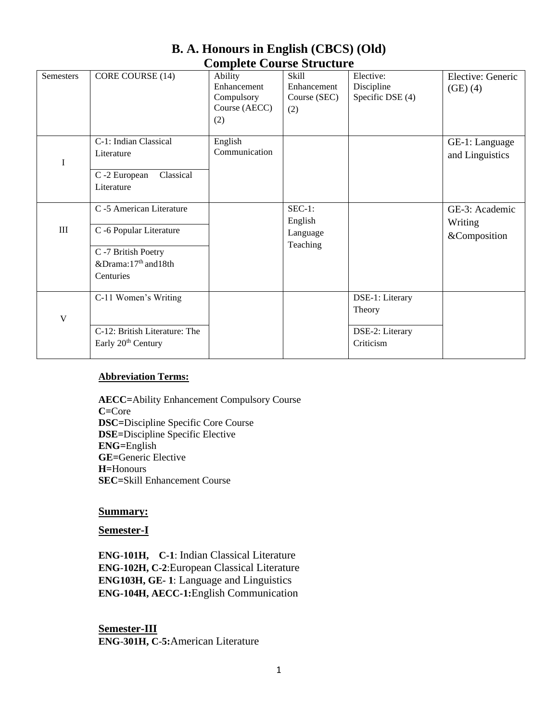| <b>Semesters</b> | CORE COURSE (14)                                                                                                           | Ability<br>Enhancement<br>Compulsory<br>Course (AECC)<br>(2) | Skill<br>Enhancement<br>Course (SEC)<br>(2) | Elective:<br>Discipline<br>Specific DSE (4)               | Elective: Generic<br>(GE)(4)              |
|------------------|----------------------------------------------------------------------------------------------------------------------------|--------------------------------------------------------------|---------------------------------------------|-----------------------------------------------------------|-------------------------------------------|
| I                | C-1: Indian Classical<br>Literature<br>Classical<br>C -2 European<br>Literature                                            | English<br>Communication                                     |                                             |                                                           | GE-1: Language<br>and Linguistics         |
| III              | C -5 American Literature<br>C -6 Popular Literature<br>C -7 British Poetry<br>&Drama:17 <sup>th</sup> and18th<br>Centuries |                                                              | $SEC-1:$<br>English<br>Language<br>Teaching |                                                           | GE-3: Academic<br>Writing<br>&Composition |
| V                | C-11 Women's Writing<br>C-12: British Literature: The<br>Early 20 <sup>th</sup> Century                                    |                                                              |                                             | DSE-1: Literary<br>Theory<br>DSE-2: Literary<br>Criticism |                                           |

# **B. A. Honours in English (CBCS) (Old) Complete Course Structure**

## **Abbreviation Terms:**

**AECC=**Ability Enhancement Compulsory Course **C=**Core **DSC=**Discipline Specific Core Course **DSE=**Discipline Specific Elective **ENG=**English **GE=**Generic Elective **H=**Honours **SEC=**Skill Enhancement Course

## **Summary:**

#### **Semester-I**

**ENG**-**101H, C-1**: Indian Classical Literature **ENG**-**102H, C-2**:European Classical Literature **ENG103H, GE- 1**: Language and Linguistics **ENG-104H, AECC-1:**English Communication

**Semester-III ENG**-**301H, C**-**5:**American Literature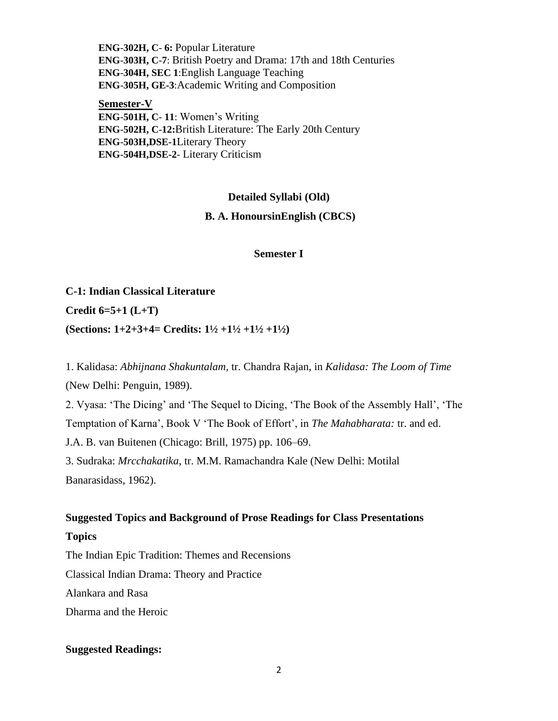**ENG**-**302H, C**- **6:** Popular Literature **ENG**-**303H, C**-**7**: British Poetry and Drama: 17th and 18th Centuries **ENG**-**304H, SEC 1**:English Language Teaching **ENG**-**305H, GE-3**:Academic Writing and Composition

**Semester-V ENG**-**501H, C**- **11**: Women's Writing **ENG**-**502H, C**-**12:**British Literature: The Early 20th Century **ENG**-**503H,DSE-1**Literary Theory **ENG**-**504H,DSE-2**- Literary Criticism

## **Detailed Syllabi (Old)**

#### **B. A. HonoursinEnglish (CBCS)**

**Semester I**

# **C-1: Indian Classical Literature Credit 6=5+1 (L+T) (Sections: 1+2+3+4= Credits: 1½ +1½ +1½ +1½)**

1. Kalidasa: *Abhijnana Shakuntalam,* tr. Chandra Rajan, in *Kalidasa: The Loom of Time* (New Delhi: Penguin, 1989).

2. Vyasa: 'The Dicing' and 'The Sequel to Dicing, 'The Book of the Assembly Hall', 'The Temptation of Karna', Book V 'The Book of Effort', in *The Mahabharata:* tr. and ed. J.A. B. van Buitenen (Chicago: Brill, 1975) pp. 106–69. 3. Sudraka: *Mrcchakatika*, tr. M.M. Ramachandra Kale (New Delhi: Motilal Banarasidass, 1962).

# **Suggested Topics and Background of Prose Readings for Class Presentations**

## **Topics**

The Indian Epic Tradition: Themes and Recensions Classical Indian Drama: Theory and Practice Alankara and Rasa Dharma and the Heroic

## **Suggested Readings:**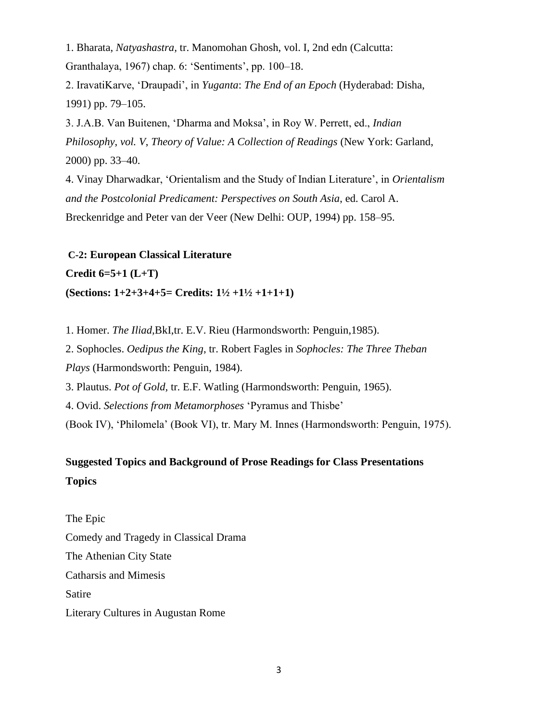1. Bharata, *Natyashastra,* tr. Manomohan Ghosh, vol. I, 2nd edn (Calcutta: Granthalaya, 1967) chap. 6: 'Sentiments', pp. 100–18.

2. IravatiKarve, 'Draupadi', in *Yuganta*: *The End of an Epoch* (Hyderabad: Disha, 1991) pp. 79–105.

3. J.A.B. Van Buitenen, 'Dharma and Moksa', in Roy W. Perrett, ed., *Indian Philosophy*, *vol. V*, *Theory of Value: A Collection of Readings* (New York: Garland, 2000) pp. 33–40.

4. Vinay Dharwadkar, 'Orientalism and the Study of Indian Literature', in *Orientalism and the Postcolonial Predicament: Perspectives on South Asia*, ed. Carol A. Breckenridge and Peter van der Veer (New Delhi: OUP, 1994) pp. 158–95.

**C-2: European Classical Literature Credit 6=5+1 (L+T) (Sections: 1+2+3+4+5= Credits: 1½ +1½ +1+1+1)**

1. Homer. *The Iliad,*BkI,tr. E.V. Rieu (Harmondsworth: Penguin,1985).

2. Sophocles. *Oedipus the King*, tr. Robert Fagles in *Sophocles: The Three Theban Plays* (Harmondsworth: Penguin, 1984).

3. Plautus. *Pot of Gold,* tr. E.F. Watling (Harmondsworth: Penguin, 1965).

4. Ovid. *Selections from Metamorphoses* 'Pyramus and Thisbe'

(Book IV), 'Philomela' (Book VI), tr. Mary M. Innes (Harmondsworth: Penguin, 1975).

# **Suggested Topics and Background of Prose Readings for Class Presentations Topics**

The Epic Comedy and Tragedy in Classical Drama The Athenian City State Catharsis and Mimesis Satire Literary Cultures in Augustan Rome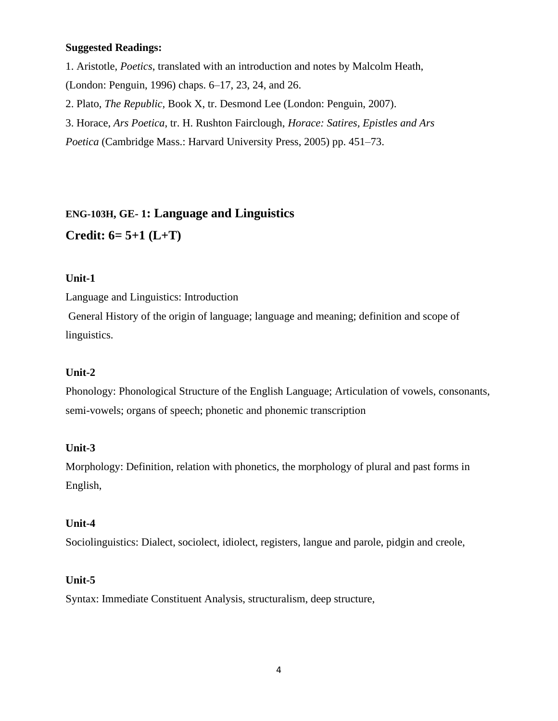## **Suggested Readings:**

- 1. Aristotle, *Poetics*, translated with an introduction and notes by Malcolm Heath,
- (London: Penguin, 1996) chaps. 6–17, 23, 24, and 26.
- 2. Plato, *The Republic,* Book X, tr. Desmond Lee (London: Penguin, 2007).
- 3. Horace, *Ars Poetica*, tr. H. Rushton Fairclough, *Horace: Satires, Epistles and Ars*

*Poetica* (Cambridge Mass.: Harvard University Press, 2005) pp. 451–73.

# **ENG-103H, GE- 1: Language and Linguistics**

# **Credit: 6= 5+1 (L+T)**

## **Unit-1**

Language and Linguistics: Introduction

General History of the origin of language; language and meaning; definition and scope of linguistics.

## **Unit-2**

Phonology: Phonological Structure of the English Language; Articulation of vowels, consonants, semi-vowels; organs of speech; phonetic and phonemic transcription

## **Unit-3**

Morphology: Definition, relation with phonetics, the morphology of plural and past forms in English,

## **Unit-4**

Sociolinguistics: Dialect, sociolect, idiolect, registers, langue and parole, pidgin and creole,

## **Unit-5**

Syntax: Immediate Constituent Analysis, structuralism, deep structure,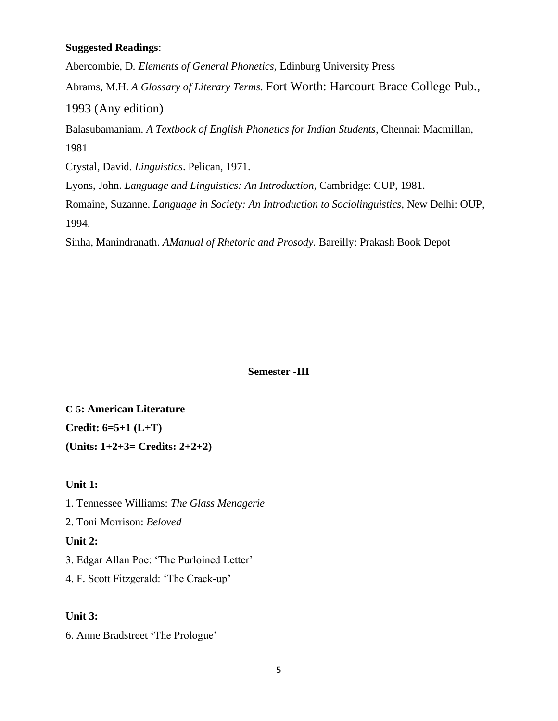## **Suggested Readings**:

Abercombie, D*. Elements of General Phonetics*, Edinburg University Press Abrams, M.H. *A Glossary of Literary Terms*. Fort Worth: Harcourt Brace College Pub., 1993 (Any edition) Balasubamaniam. *A Textbook of English Phonetics for Indian Students*, Chennai: Macmillan, 1981 Crystal, David. *Linguistics*. Pelican, 1971. Lyons, John. *Language and Linguistics: An Introduction*, Cambridge: CUP, 1981. Romaine, Suzanne. *Language in Society: An Introduction to Sociolinguistics*, New Delhi: OUP, 1994.

Sinha, Manindranath. *AManual of Rhetoric and Prosody.* Bareilly: Prakash Book Depot

#### **Semester -III**

**C**-**5: American Literature Credit: 6=5+1 (L+T) (Units: 1+2+3= Credits: 2+2+2)**

### **Unit 1:**

1. Tennessee Williams: *The Glass Menagerie* 2. Toni Morrison: *Beloved* **Unit 2:** 3. Edgar Allan Poe: 'The Purloined Letter' 4. F. Scott Fitzgerald: 'The Crack-up'

## **Unit 3:**

6. Anne Bradstreet **'**The Prologue'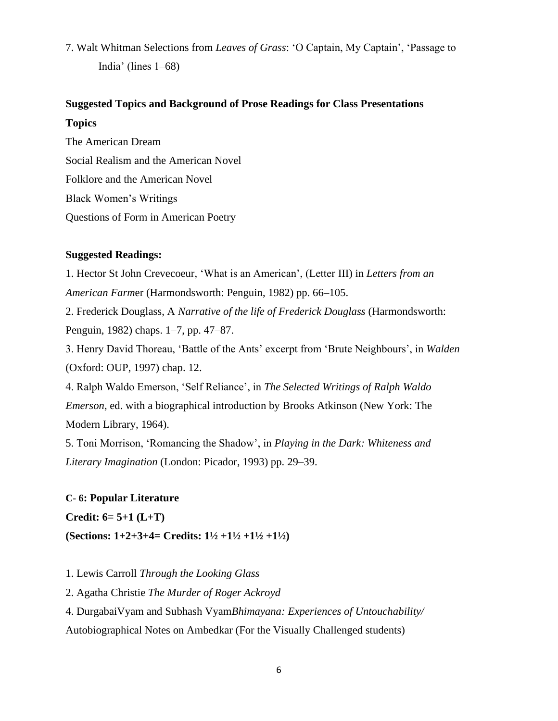7. Walt Whitman Selections from *Leaves of Grass*: 'O Captain, My Captain', 'Passage to India' (lines 1–68)

# **Suggested Topics and Background of Prose Readings for Class Presentations Topics**

The American Dream Social Realism and the American Novel Folklore and the American Novel Black Women's Writings Questions of Form in American Poetry

## **Suggested Readings:**

1. Hector St John Crevecoeur, 'What is an American', (Letter III) in *Letters from an American Farm*er (Harmondsworth: Penguin, 1982) pp. 66–105. 2. Frederick Douglass, A *Narrative of the life of Frederick Douglass* (Harmondsworth: Penguin, 1982) chaps. 1–7, pp. 47–87. 3. Henry David Thoreau, 'Battle of the Ants' excerpt from 'Brute Neighbours', in *Walden* (Oxford: OUP, 1997) chap. 12. 4. Ralph Waldo Emerson, 'Self Reliance', in *The Selected Writings of Ralph Waldo Emerson*, ed. with a biographical introduction by Brooks Atkinson (New York: The Modern Library, 1964).

5. Toni Morrison, 'Romancing the Shadow', in *Playing in the Dark: Whiteness and Literary Imagination* (London: Picador, 1993) pp. 29–39.

## **C**- **6: Popular Literature**

**Credit: 6= 5+1 (L+T)**

**(Sections: 1+2+3+4= Credits: 1½ +1½ +1½ +1½)**

1. Lewis Carroll *Through the Looking Glass*

2. Agatha Christie *The Murder of Roger Ackroyd*

4. DurgabaiVyam and Subhash Vyam*Bhimayana: Experiences of Untouchability/* Autobiographical Notes on Ambedkar (For the Visually Challenged students)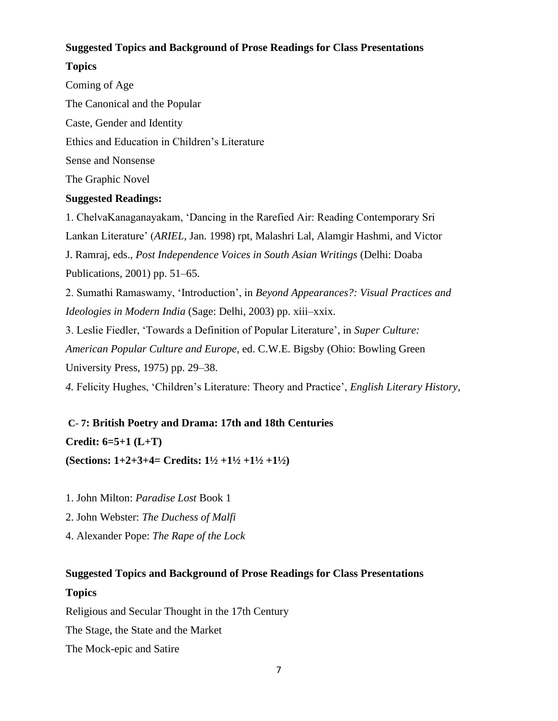## **Suggested Topics and Background of Prose Readings for Class Presentations**

## **Topics**

Coming of Age The Canonical and the Popular Caste, Gender and Identity Ethics and Education in Children's Literature Sense and Nonsense The Graphic Novel **Suggested Readings:**

1. ChelvaKanaganayakam, 'Dancing in the Rarefied Air: Reading Contemporary Sri Lankan Literature' (*ARIEL*, Jan. 1998) rpt, Malashri Lal, Alamgir Hashmi, and Victor J. Ramraj, eds., *Post Independence Voices in South Asian Writings* (Delhi: Doaba Publications, 2001) pp. 51–65.

2. Sumathi Ramaswamy, 'Introduction', in *Beyond Appearances?: Visual Practices and Ideologies in Modern India* (Sage: Delhi, 2003) pp. xiii–xxix.

3. Leslie Fiedler, 'Towards a Definition of Popular Literature', in *Super Culture: American Popular Culture and Europe*, ed. C.W.E. Bigsby (Ohio: Bowling Green University Press, 1975) pp. 29–38.

*4.* Felicity Hughes, 'Children's Literature: Theory and Practice', *English Literary History*,

**C**- **7: British Poetry and Drama: 17th and 18th Centuries Credit: 6=5+1 (L+T) (Sections: 1+2+3+4= Credits: 1½ +1½ +1½ +1½)**

1. John Milton: *Paradise Lost* Book 1

2. John Webster: *The Duchess of Malfi*

4. Alexander Pope: *The Rape of the Lock*

# **Suggested Topics and Background of Prose Readings for Class Presentations Topics**

Religious and Secular Thought in the 17th Century The Stage, the State and the Market The Mock-epic and Satire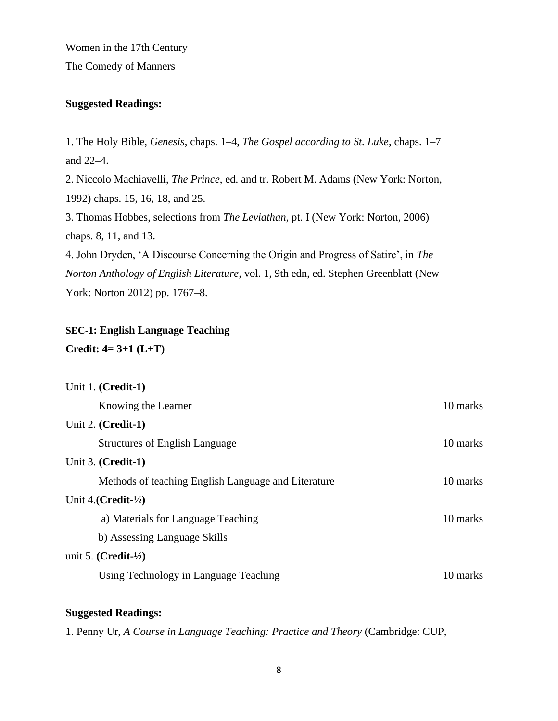Women in the 17th Century The Comedy of Manners

### **Suggested Readings:**

1. The Holy Bible*, Genesis*, chaps. 1–4, *The Gospel according to St. Luke*, chaps. 1–7 and 22–4.

2. Niccolo Machiavelli, *The Prince*, ed. and tr. Robert M. Adams (New York: Norton, 1992) chaps. 15, 16, 18, and 25.

3. Thomas Hobbes, selections from *The Leviathan,* pt. I (New York: Norton, 2006) chaps. 8, 11, and 13.

4. John Dryden, 'A Discourse Concerning the Origin and Progress of Satire', in *The Norton Anthology of English Literature,* vol. 1, 9th edn, ed. Stephen Greenblatt (New York: Norton 2012) pp. 1767–8.

# **SEC-1: English Language Teaching**

## **Credit: 4= 3+1 (L+T)**

| Unit 1. (Credit-1)                                  |          |
|-----------------------------------------------------|----------|
| Knowing the Learner                                 | 10 marks |
| Unit 2. $(Credit-1)$                                |          |
| <b>Structures of English Language</b>               | 10 marks |
| Unit $3.$ (Credit-1)                                |          |
| Methods of teaching English Language and Literature | 10 marks |
| Unit 4. $(Credit-1/2)$                              |          |
| a) Materials for Language Teaching                  | 10 marks |
| b) Assessing Language Skills                        |          |
| unit 5. $(Credit-1/2)$                              |          |
| Using Technology in Language Teaching               | 10 marks |

## **Suggested Readings:**

1. Penny Ur, *A Course in Language Teaching: Practice and Theory* (Cambridge: CUP,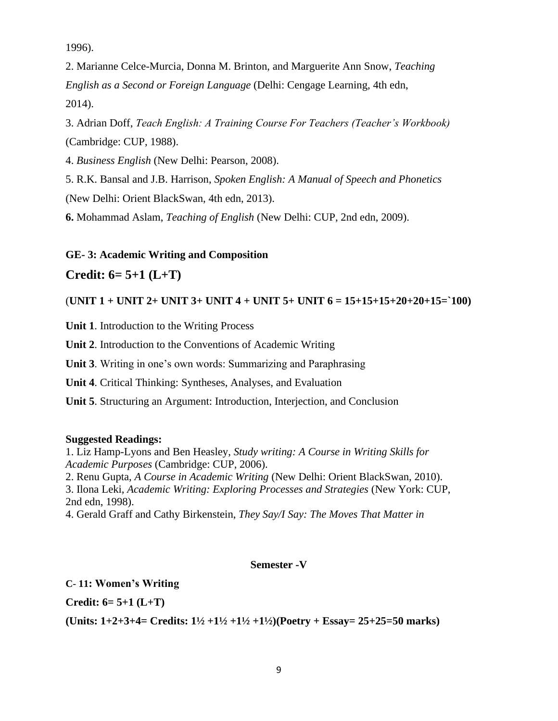1996).

2. Marianne Celce-Murcia, Donna M. Brinton, and Marguerite Ann Snow, *Teaching English as a Second or Foreign Language* (Delhi: Cengage Learning, 4th edn, 2014).

3. Adrian Doff, *Teach English: A Training Course For Teachers (Teacher's Workbook)* (Cambridge: CUP, 1988).

4. *Business English* (New Delhi: Pearson, 2008).

5. R.K. Bansal and J.B. Harrison, *Spoken English: A Manual of Speech and Phonetics*

(New Delhi: Orient BlackSwan, 4th edn, 2013).

**6.** Mohammad Aslam, *Teaching of English* (New Delhi: CUP, 2nd edn, 2009).

## **GE- 3: Academic Writing and Composition**

## **Credit: 6= 5+1 (L+T)**

(**UNIT 1 + UNIT 2+ UNIT 3+ UNIT 4 + UNIT 5+ UNIT 6 = 15+15+15+20+20+15=`100)**

**Unit 1**. Introduction to the Writing Process

**Unit 2**. Introduction to the Conventions of Academic Writing

**Unit 3**. Writing in one's own words: Summarizing and Paraphrasing

**Unit 4**. Critical Thinking: Syntheses, Analyses, and Evaluation

**Unit 5**. Structuring an Argument: Introduction, Interjection, and Conclusion

#### **Suggested Readings:**

1. Liz Hamp-Lyons and Ben Heasley, *Study writing: A Course in Writing Skills for Academic Purposes* (Cambridge: CUP, 2006).

2. Renu Gupta, *A Course in Academic Writing* (New Delhi: Orient BlackSwan, 2010).

3. Ilona Leki, *Academic Writing: Exploring Processes and Strategies* (New York: CUP, 2nd edn, 1998).

4. Gerald Graff and Cathy Birkenstein, *They Say/I Say: The Moves That Matter in*

#### **Semester -V**

## **C**- **11: Women's Writing**

**Credit: 6= 5+1 (L+T)** 

**(Units: 1+2+3+4= Credits: 1½ +1½ +1½ +1½)(Poetry + Essay= 25+25=50 marks)**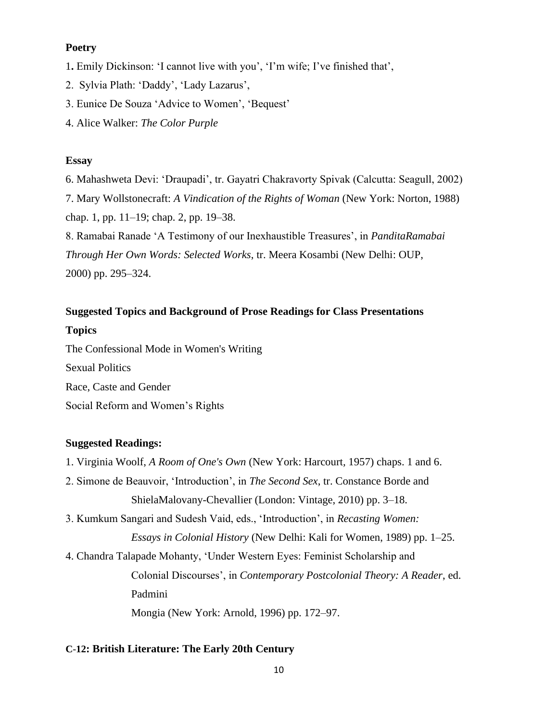## **Poetry**

- 1**.** Emily Dickinson: 'I cannot live with you', 'I'm wife; I've finished that',
- 2. Sylvia Plath: 'Daddy', 'Lady Lazarus',
- 3. Eunice De Souza 'Advice to Women', 'Bequest'
- 4. Alice Walker: *The Color Purple*

### **Essay**

6. Mahashweta Devi: 'Draupadi', tr. Gayatri Chakravorty Spivak (Calcutta: Seagull, 2002) 7. Mary Wollstonecraft: *A Vindication of the Rights of Woman* (New York: Norton, 1988) chap. 1, pp. 11–19; chap. 2, pp. 19–38. 8. Ramabai Ranade 'A Testimony of our Inexhaustible Treasures', in *PanditaRamabai Through Her Own Words: Selected Works*, tr. Meera Kosambi (New Delhi: OUP, 2000) pp. 295–324.

# **Suggested Topics and Background of Prose Readings for Class Presentations Topics**

The Confessional Mode in Women's Writing Sexual Politics Race, Caste and Gender Social Reform and Women's Rights

## **Suggested Readings:**

- 1. Virginia Woolf, *A Room of One's Own* (New York: Harcourt*,* 1957) chaps. 1 and 6.
- 2. Simone de Beauvoir, 'Introduction', in *The Second Sex*, tr. Constance Borde and ShielaMalovany-Chevallier (London: Vintage, 2010) pp. 3–18.
- 3. Kumkum Sangari and Sudesh Vaid, eds., 'Introduction', in *Recasting Women: Essays in Colonial History* (New Delhi: Kali for Women, 1989) pp. 1–25.
- 4. Chandra Talapade Mohanty, 'Under Western Eyes: Feminist Scholarship and Colonial Discourses', in *Contemporary Postcolonial Theory: A Reader*, ed. Padmini Mongia (New York: Arnold, 1996) pp. 172–97.

#### **C**-**12: British Literature: The Early 20th Century**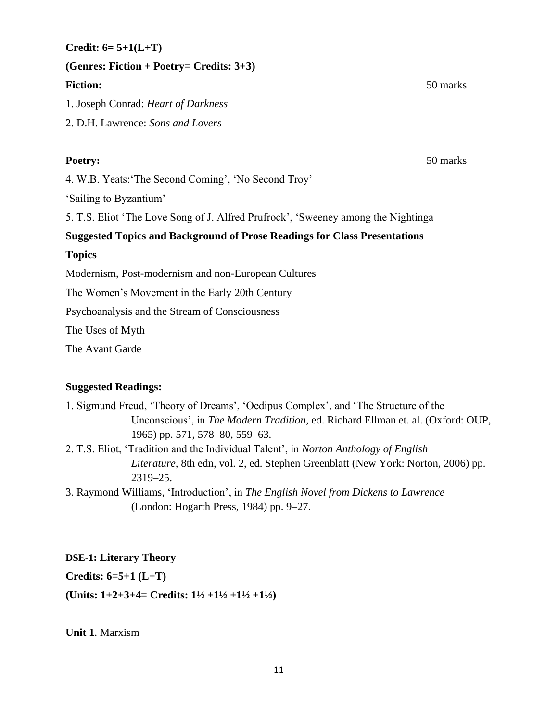**Credit: 6= 5+1(L+T)**

**(Genres: Fiction + Poetry= Credits: 3+3)**

## **Fiction:** 50 marks

1. Joseph Conrad: *Heart of Darkness*

2. D.H. Lawrence: *Sons and Lovers*

**Poetry:** 50 marks

4. W.B. Yeats:'The Second Coming', 'No Second Troy'

'Sailing to Byzantium'

5. T.S. Eliot 'The Love Song of J. Alfred Prufrock', 'Sweeney among the Nightinga

# **Suggested Topics and Background of Prose Readings for Class Presentations**

# **Topics**

Modernism, Post-modernism and non-European Cultures

The Women's Movement in the Early 20th Century

Psychoanalysis and the Stream of Consciousness

The Uses of Myth

The Avant Garde

# **Suggested Readings:**

- 1. Sigmund Freud, 'Theory of Dreams', 'Oedipus Complex', and 'The Structure of the Unconscious', in *The Modern Tradition*, ed. Richard Ellman et. al. (Oxford: OUP, 1965) pp. 571, 578–80, 559–63.
- 2. T.S. Eliot, 'Tradition and the Individual Talent', in *Norton Anthology of English Literature,* 8th edn, vol. 2, ed. Stephen Greenblatt (New York: Norton, 2006) pp. 2319–25.
- 3. Raymond Williams, 'Introduction', in *The English Novel from Dickens to Lawrence* (London: Hogarth Press, 1984) pp. 9–27.

**DSE-1: Literary Theory**

**Credits: 6=5+1 (L+T)** 

**(Units: 1+2+3+4= Credits: 1½ +1½ +1½ +1½)**

**Unit 1**. Marxism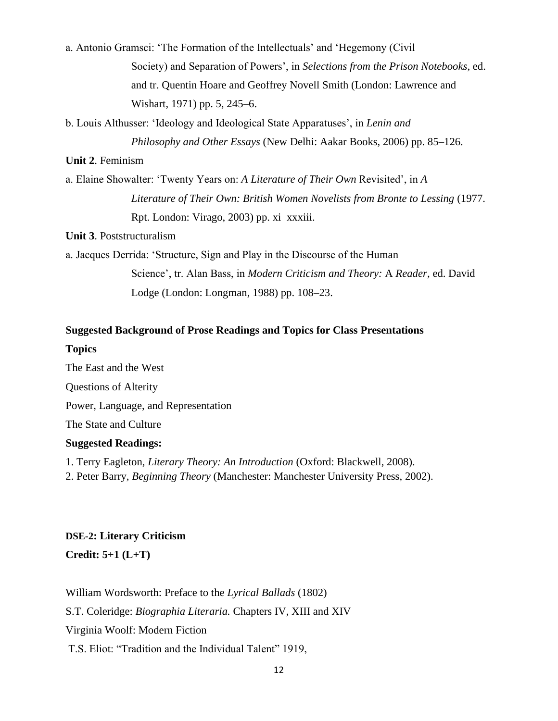a. Antonio Gramsci: 'The Formation of the Intellectuals' and 'Hegemony (Civil Society) and Separation of Powers', in *Selections from the Prison Notebooks*, ed. and tr. Quentin Hoare and Geoffrey Novell Smith (London: Lawrence and Wishart, 1971) pp. 5, 245–6.

b. Louis Althusser: 'Ideology and Ideological State Apparatuses', in *Lenin and*

*Philosophy and Other Essays* (New Delhi: Aakar Books, 2006) pp. 85–126.

#### **Unit 2**. Feminism

a. Elaine Showalter: 'Twenty Years on: *A Literature of Their Own* Revisited', in *A Literature of Their Own: British Women Novelists from Bronte to Lessing* (1977. Rpt. London: Virago, 2003) pp. xi–xxxiii.

**Unit 3**. Poststructuralism

a. Jacques Derrida: 'Structure, Sign and Play in the Discourse of the Human Science', tr. Alan Bass, in *Modern Criticism and Theory:* A *Reader,* ed. David Lodge (London: Longman, 1988) pp. 108–23.

# **Suggested Background of Prose Readings and Topics for Class Presentations**

### **Topics**

The East and the West Questions of Alterity Power, Language, and Representation The State and Culture **Suggested Readings:**

1. Terry Eagleton, *Literary Theory: An Introduction* (Oxford: Blackwell, 2008).

2. Peter Barry, *Beginning Theory* (Manchester: Manchester University Press, 2002).

# **DSE-2: Literary Criticism Credit: 5+1 (L+T)**

William Wordsworth: Preface to the *Lyrical Ballads* (1802) S.T. Coleridge: *Biographia Literaria.* Chapters IV, XIII and XIV Virginia Woolf: Modern Fiction T.S. Eliot: "Tradition and the Individual Talent" 1919,